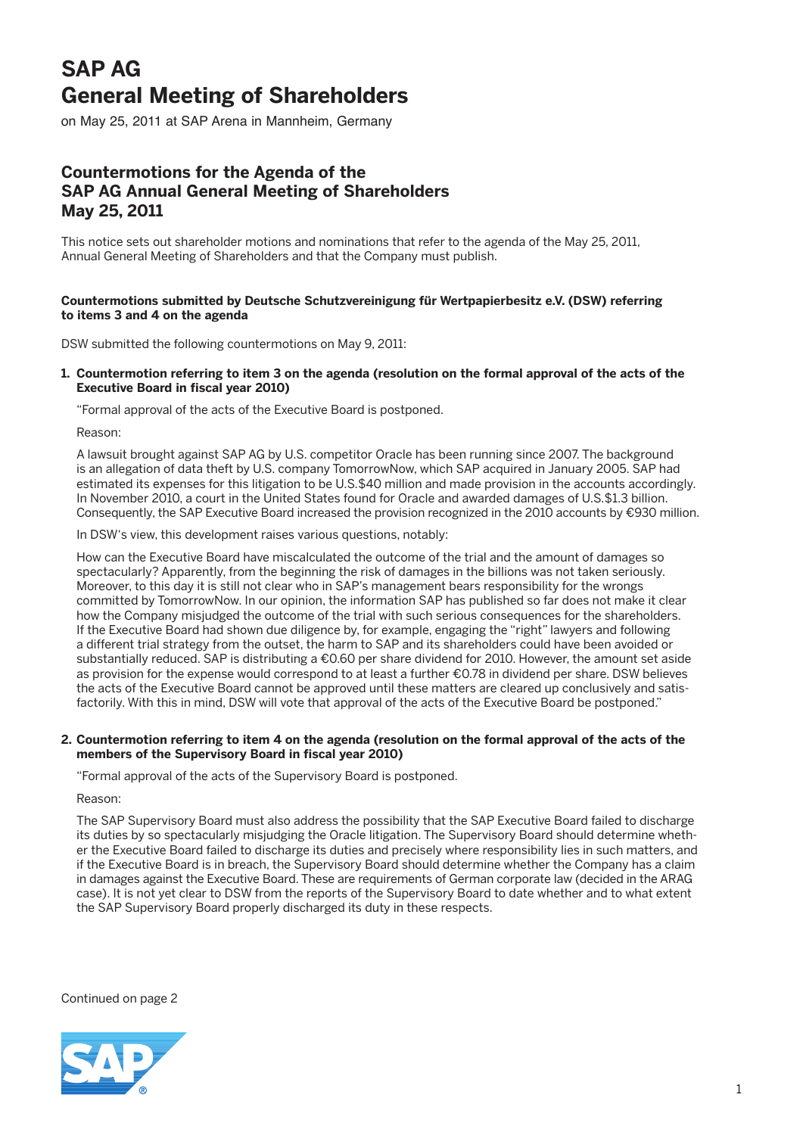## **SAP AG General Meeting of Shareholders**

on May 25, 2011 at SAP Arena in Mannheim, Germany

### **Countermotions for the Agenda of the SAP AG Annual General Meeting of Shareholders May 25, 2011**

This notice sets out shareholder motions and nominations that refer to the agenda of the May 25, 2011, Annual General Meeting of Shareholders and that the Company must publish.

### **Countermotions submitted by Deutsche Schutzvereinigung für Wertpapierbesitz e.V. (DSW) referring to items 3 and 4 on the agenda**

DSW submitted the following countermotions on May 9, 2011:

#### **1. Countermotion referring to item 3 on the agenda (resolution on the formal approval of the acts of the Executive Board in fiscal year 2010)**

"Formal approval of the acts of the Executive Board is postponed.

Reason:

 A lawsuit brought against SAP AG by U.S. competitor Oracle has been running since 2007. The background is an allegation of data theft by U.S. company TomorrowNow, which SAP acquired in January 2005. SAP had estimated its expenses for this litigation to be U.S.\$40 million and made provision in the accounts accordingly. In November 2010, a court in the United States found for Oracle and awarded damages of U.S.\$1.3 billion. Consequently, the SAP Executive Board increased the provision recognized in the 2010 accounts by €930 million.

In DSW's view, this development raises various questions, notably:

 How can the Executive Board have miscalculated the outcome of the trial and the amount of damages so spectacularly? Apparently, from the beginning the risk of damages in the billions was not taken seriously. Moreover, to this day it is still not clear who in SAP's management bears responsibility for the wrongs committed by TomorrowNow. In our opinion, the information SAP has published so far does not make it clear how the Company misjudged the outcome of the trial with such serious consequences for the shareholders. If the Executive Board had shown due diligence by, for example, engaging the "right" lawyers and following a different trial strategy from the outset, the harm to SAP and its shareholders could have been avoided or substantially reduced. SAP is distributing a €0.60 per share dividend for 2010. However, the amount set aside as provision for the expense would correspond to at least a further €0.78 in dividend per share. DSW believes the acts of the Executive Board cannot be approved until these matters are cleared up conclusively and satisfactorily. With this in mind, DSW will vote that approval of the acts of the Executive Board be postponed."

#### **2. Countermotion referring to item 4 on the agenda (resolution on the formal approval of the acts of the members of the Supervisory Board in fiscal year 2010)**

"Formal approval of the acts of the Supervisory Board is postponed.

Reason:

 The SAP Supervisory Board must also address the possibility that the SAP Executive Board failed to discharge its duties by so spectacularly misjudging the Oracle litigation. The Supervisory Board should determine whether the Executive Board failed to discharge its duties and precisely where responsibility lies in such matters, and if the Executive Board is in breach, the Supervisory Board should determine whether the Company has a claim in damages against the Executive Board. These are requirements of German corporate law (decided in the ARAG case). It is not yet clear to DSW from the reports of the Supervisory Board to date whether and to what extent the SAP Supervisory Board properly discharged its duty in these respects.

Continued on page 2